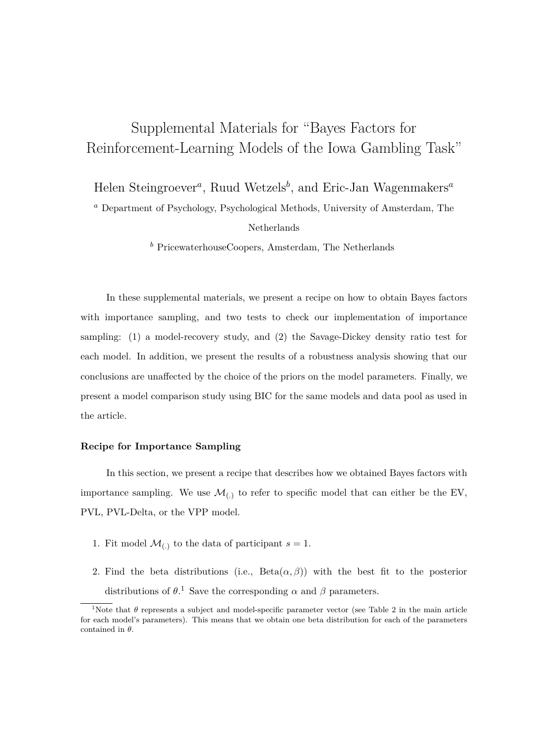# Supplemental Materials for "Bayes Factors for Reinforcement-Learning Models of the Iowa Gambling Task"

Helen Steingroever*<sup>a</sup>* , Ruud Wetzels*<sup>b</sup>* , and Eric-Jan Wagenmakers*<sup>a</sup>*

*<sup>a</sup>* Department of Psychology, Psychological Methods, University of Amsterdam, The Netherlands

*<sup>b</sup>* PricewaterhouseCoopers, Amsterdam, The Netherlands

In these supplemental materials, we present a recipe on how to obtain Bayes factors with importance sampling, and two tests to check our implementation of importance sampling: (1) a model-recovery study, and (2) the Savage-Dickey density ratio test for each model. In addition, we present the results of a robustness analysis showing that our conclusions are unaffected by the choice of the priors on the model parameters. Finally, we present a model comparison study using BIC for the same models and data pool as used in the article.

## **Recipe for Importance Sampling**

In this section, we present a recipe that describes how we obtained Bayes factors with importance sampling. We use  $\mathcal{M}_{(.)}$  to refer to specific model that can either be the EV, PVL, PVL-Delta, or the VPP model.

- 1. Fit model  $\mathcal{M}_{(.)}$  to the data of participant  $s = 1$ .
- 2. Find the beta distributions (i.e.,  $Beta(\alpha, \beta)$ ) with the best fit to the posterior distributions of  $\theta$ <sup>1</sup>. Save the corresponding  $\alpha$  and  $\beta$  parameters.

<sup>&</sup>lt;sup>1</sup>Note that  $\theta$  represents a subject and model-specific parameter vector (see Table 2 in the main article for each model's parameters). This means that we obtain one beta distribution for each of the parameters contained in *θ*.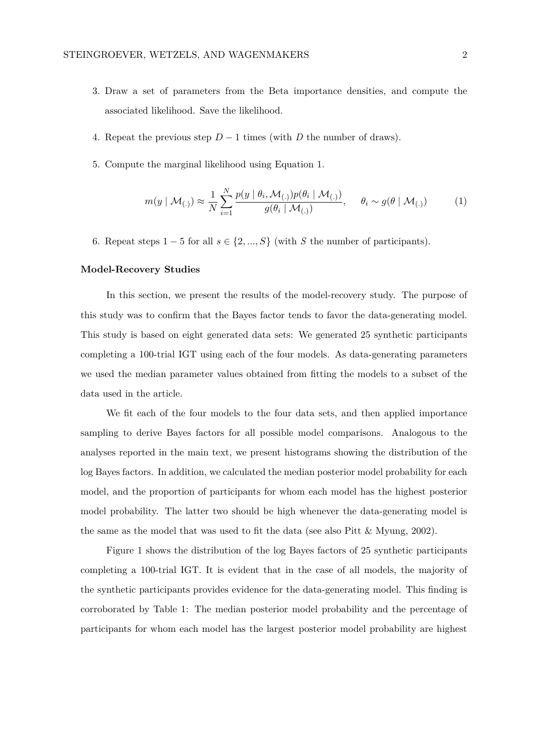- 3. Draw a set of parameters from the Beta importance densities, and compute the associated likelihood. Save the likelihood.
- 4. Repeat the previous step *D* − 1 times (with *D* the number of draws).
- 5. Compute the marginal likelihood using Equation 1.

$$
m(y \mid \mathcal{M}_{(.)}) \approx \frac{1}{N} \sum_{i=1}^{N} \frac{p(y \mid \theta_i, \mathcal{M}_{(.)}) p(\theta_i \mid \mathcal{M}_{(.)})}{g(\theta_i \mid \mathcal{M}_{(.)})}, \quad \theta_i \sim g(\theta \mid \mathcal{M}_{(.)})
$$
 (1)

6. Repeat steps  $1 - 5$  for all  $s \in \{2, ..., S\}$  (with *S* the number of participants).

## **Model-Recovery Studies**

In this section, we present the results of the model-recovery study. The purpose of this study was to confirm that the Bayes factor tends to favor the data-generating model. This study is based on eight generated data sets: We generated 25 synthetic participants completing a 100-trial IGT using each of the four models. As data-generating parameters we used the median parameter values obtained from fitting the models to a subset of the data used in the article.

We fit each of the four models to the four data sets, and then applied importance sampling to derive Bayes factors for all possible model comparisons. Analogous to the analyses reported in the main text, we present histograms showing the distribution of the log Bayes factors. In addition, we calculated the median posterior model probability for each model, and the proportion of participants for whom each model has the highest posterior model probability. The latter two should be high whenever the data-generating model is the same as the model that was used to fit the data (see also Pitt  $&$  Myung, 2002).

Figure 1 shows the distribution of the log Bayes factors of 25 synthetic participants completing a 100-trial IGT. It is evident that in the case of all models, the majority of the synthetic participants provides evidence for the data-generating model. This finding is corroborated by Table 1: The median posterior model probability and the percentage of participants for whom each model has the largest posterior model probability are highest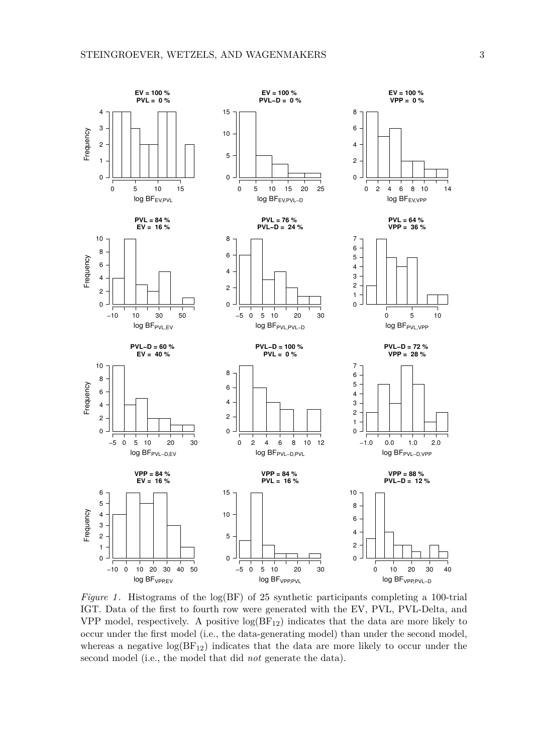

*Figure 1*. Histograms of the  $log(BF)$  of 25 synthetic participants completing a 100-trial IGT. Data of the first to fourth row were generated with the EV, PVL, PVL-Delta, and VPP model, respectively. A positive  $log(BF_{12})$  indicates that the data are more likely to occur under the first model (i.e., the data-generating model) than under the second model, whereas a negative  $log(BF_{12})$  indicates that the data are more likely to occur under the second model (i.e., the model that did *not* generate the data).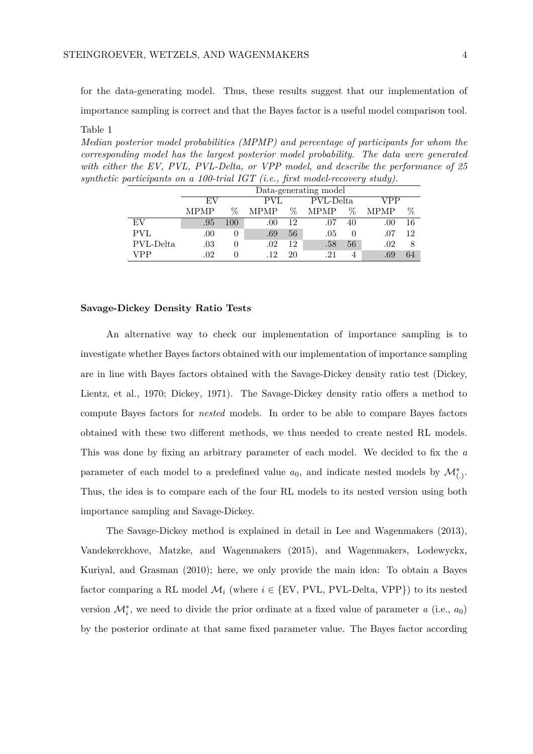for the data-generating model. Thus, these results suggest that our implementation of importance sampling is correct and that the Bayes factor is a useful model comparison tool. Table 1

*Median posterior model probabilities (MPMP) and percentage of participants for whom the corresponding model has the largest posterior model probability. The data were generated with either the EV, PVL, PVL-Delta, or VPP model, and describe the performance of 25 synthetic participants on a 100-trial IGT (i.e., first model-recovery study).*

|            | Data-generating model |      |             |      |           |      |      |      |
|------------|-----------------------|------|-------------|------|-----------|------|------|------|
|            | EV                    |      | PVL         |      | PVL-Delta |      | VPP  |      |
|            | <b>MPMP</b>           | $\%$ | <b>MPMP</b> | $\%$ | MPMP      | $\%$ | MPMP | $\%$ |
| EV         | .95                   | 100  | .00.        | 12   | .07       | 40   | .00. | 16   |
| <b>PVL</b> | .00                   | 0    | .69         | 56   | .05       |      | .07  | 12   |
| PVL-Delta  | $.03\,$               |      | .02         | 12   | .58       | 56   | .02  |      |
| VPP        | .02                   | 0    | 12          | 20   | 21        |      | .69  | 64   |

## **Savage-Dickey Density Ratio Tests**

An alternative way to check our implementation of importance sampling is to investigate whether Bayes factors obtained with our implementation of importance sampling are in line with Bayes factors obtained with the Savage-Dickey density ratio test (Dickey, Lientz, et al., 1970; Dickey, 1971). The Savage-Dickey density ratio offers a method to compute Bayes factors for *nested* models. In order to be able to compare Bayes factors obtained with these two different methods, we thus needed to create nested RL models. This was done by fixing an arbitrary parameter of each model. We decided to fix the *a* parameter of each model to a predefined value  $a_0$ , and indicate nested models by  $\mathcal{M}_{(.)}^*$ . Thus, the idea is to compare each of the four RL models to its nested version using both importance sampling and Savage-Dickey.

The Savage-Dickey method is explained in detail in Lee and Wagenmakers (2013), Vandekerckhove, Matzke, and Wagenmakers (2015), and Wagenmakers, Lodewyckx, Kuriyal, and Grasman (2010); here, we only provide the main idea: To obtain a Bayes factor comparing a RL model  $\mathcal{M}_i$  (where  $i \in \{EV, PVL, PVL\}$ -Delta, VPP $\}$ ) to its nested version  $\mathcal{M}_{i}^{*}$ , we need to divide the prior ordinate at a fixed value of parameter *a* (i.e., *a*<sub>0</sub>) by the posterior ordinate at that same fixed parameter value. The Bayes factor according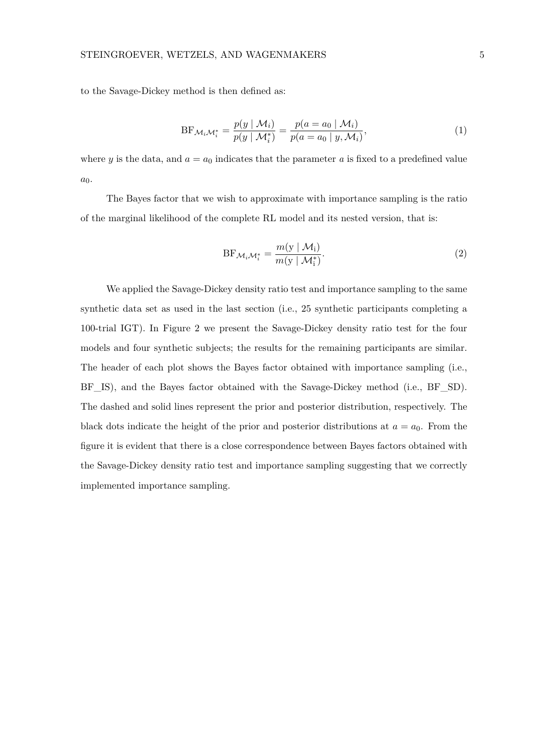to the Savage-Dickey method is then defined as:

BF
$$
\mathcal{M}_i \mathcal{M}_i^* = \frac{p(y \mid \mathcal{M}_i)}{p(y \mid \mathcal{M}_i^*)} = \frac{p(a = a_0 \mid \mathcal{M}_i)}{p(a = a_0 \mid y, \mathcal{M}_i)},
$$
\n(1)

where *y* is the data, and  $a = a_0$  indicates that the parameter *a* is fixed to a predefined value *a*0.

The Bayes factor that we wish to approximate with importance sampling is the ratio of the marginal likelihood of the complete RL model and its nested version, that is:

$$
BF_{\mathcal{M}_i \mathcal{M}_i^*} = \frac{m(\mathbf{y} \mid \mathcal{M}_i)}{m(\mathbf{y} \mid \mathcal{M}_i^*)}.
$$
 (2)

We applied the Savage-Dickey density ratio test and importance sampling to the same synthetic data set as used in the last section (i.e., 25 synthetic participants completing a 100-trial IGT). In Figure 2 we present the Savage-Dickey density ratio test for the four models and four synthetic subjects; the results for the remaining participants are similar. The header of each plot shows the Bayes factor obtained with importance sampling (i.e., BF<sub>IS</sub>), and the Bayes factor obtained with the Savage-Dickey method (i.e., BF<sub>SD</sub>). The dashed and solid lines represent the prior and posterior distribution, respectively. The black dots indicate the height of the prior and posterior distributions at  $a = a_0$ . From the figure it is evident that there is a close correspondence between Bayes factors obtained with the Savage-Dickey density ratio test and importance sampling suggesting that we correctly implemented importance sampling.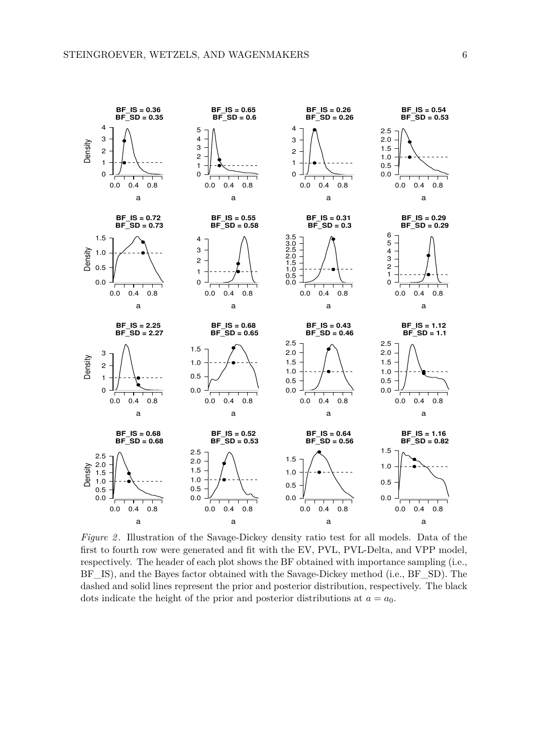

*Figure 2.* Illustration of the Savage-Dickey density ratio test for all models. Data of the first to fourth row were generated and fit with the EV, PVL, PVL-Delta, and VPP model, respectively. The header of each plot shows the BF obtained with importance sampling (i.e., BF\_IS), and the Bayes factor obtained with the Savage-Dickey method (i.e., BF\_SD). The dashed and solid lines represent the prior and posterior distribution, respectively. The black dots indicate the height of the prior and posterior distributions at  $a = a_0$ .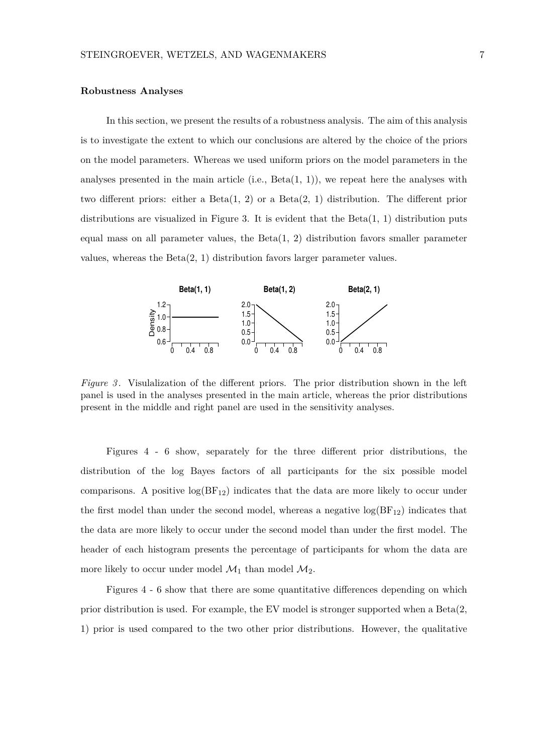### **Robustness Analyses**

In this section, we present the results of a robustness analysis. The aim of this analysis is to investigate the extent to which our conclusions are altered by the choice of the priors on the model parameters. Whereas we used uniform priors on the model parameters in the analyses presented in the main article (i.e.,  $Beta(1, 1)$ ), we repeat here the analyses with two different priors: either a  $Beta(1, 2)$  or a  $Beta(2, 1)$  distribution. The different prior distributions are visualized in Figure 3. It is evident that the  $Beta(1, 1)$  distribution puts equal mass on all parameter values, the  $Beta(1, 2)$  distribution favors smaller parameter values, whereas the  $Beta(2, 1)$  distribution favors larger parameter values.



*Figure 3* . Visulalization of the different priors. The prior distribution shown in the left panel is used in the analyses presented in the main article, whereas the prior distributions present in the middle and right panel are used in the sensitivity analyses.

Figures 4 - 6 show, separately for the three different prior distributions, the distribution of the log Bayes factors of all participants for the six possible model comparisons. A positive  $log(BF_{12})$  indicates that the data are more likely to occur under the first model than under the second model, whereas a negative  $log(BF_{12})$  indicates that the data are more likely to occur under the second model than under the first model. The header of each histogram presents the percentage of participants for whom the data are more likely to occur under model  $\mathcal{M}_1$  than model  $\mathcal{M}_2$ .

Figures 4 - 6 show that there are some quantitative differences depending on which prior distribution is used. For example, the EV model is stronger supported when a Beta(2, 1) prior is used compared to the two other prior distributions. However, the qualitative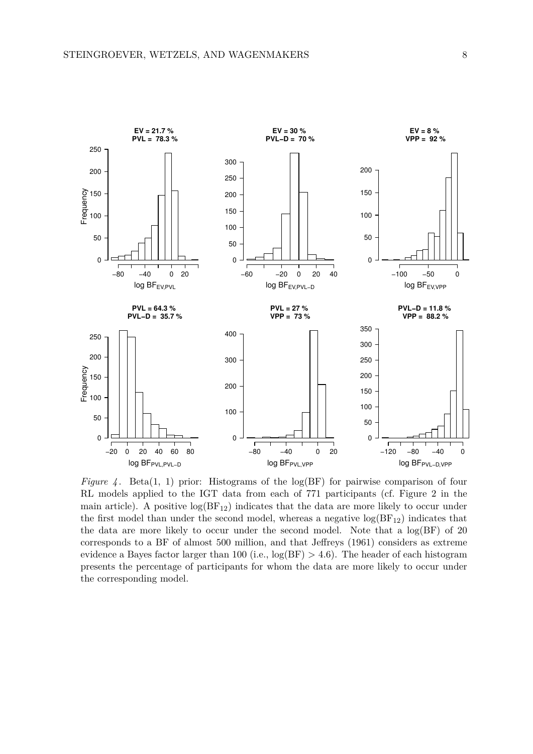

*Figure 4.* Beta(1, 1) prior: Histograms of the  $log(BF)$  for pairwise comparison of four RL models applied to the IGT data from each of 771 participants (cf. Figure 2 in the main article). A positive  $log(BF_{12})$  indicates that the data are more likely to occur under the first model than under the second model, whereas a negative  $log(BF_{12})$  indicates that the data are more likely to occur under the second model. Note that a log(BF) of 20 corresponds to a BF of almost 500 million, and that Jeffreys (1961) considers as extreme evidence a Bayes factor larger than 100 (i.e.,  $log(BF) > 4.6$ ). The header of each histogram presents the percentage of participants for whom the data are more likely to occur under the corresponding model.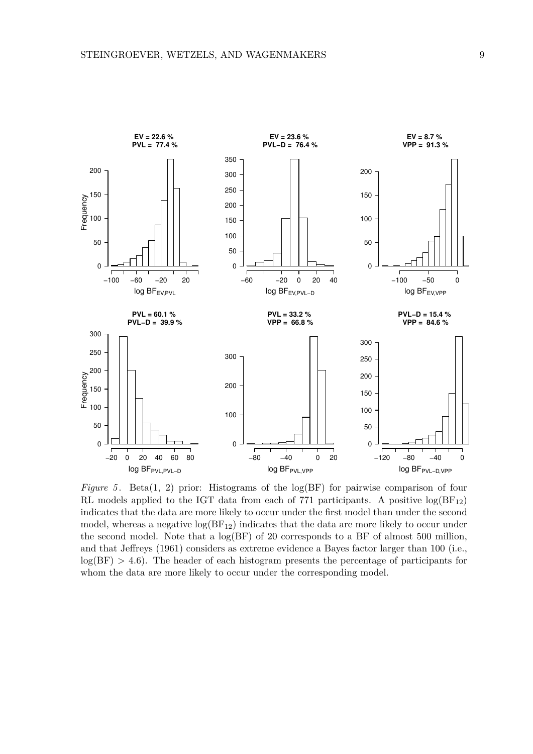

*Figure 5*. Beta(1, 2) prior: Histograms of the log(BF) for pairwise comparison of four RL models applied to the IGT data from each of 771 participants. A positive  $log(BF_{12})$ indicates that the data are more likely to occur under the first model than under the second model, whereas a negative  $log(BF_{12})$  indicates that the data are more likely to occur under the second model. Note that a  $log(BF)$  of 20 corresponds to a BF of almost 500 million, and that Jeffreys (1961) considers as extreme evidence a Bayes factor larger than 100 (i.e.,  $log(BF) > 4.6$ ). The header of each histogram presents the percentage of participants for whom the data are more likely to occur under the corresponding model.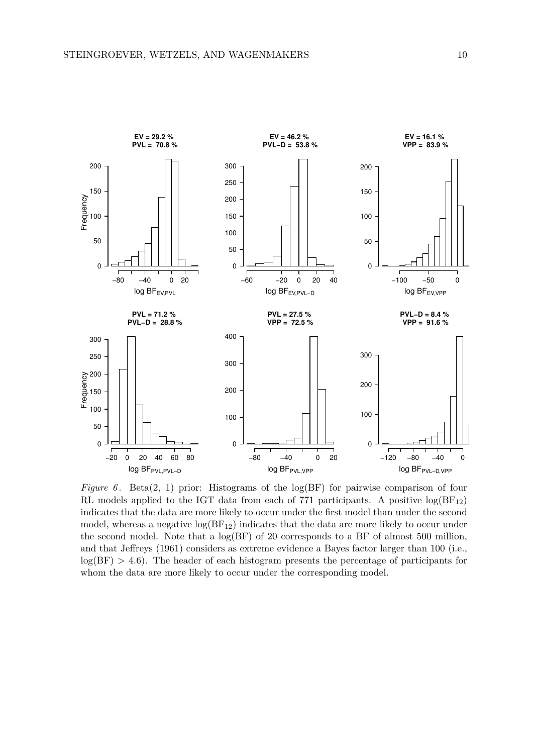

*Figure 6*. Beta(2, 1) prior: Histograms of the log(BF) for pairwise comparison of four RL models applied to the IGT data from each of 771 participants. A positive  $log(BF_{12})$ indicates that the data are more likely to occur under the first model than under the second model, whereas a negative  $log(BF_{12})$  indicates that the data are more likely to occur under the second model. Note that a  $log(BF)$  of 20 corresponds to a BF of almost 500 million, and that Jeffreys (1961) considers as extreme evidence a Bayes factor larger than 100 (i.e.,  $log(BF) > 4.6$ ). The header of each histogram presents the percentage of participants for whom the data are more likely to occur under the corresponding model.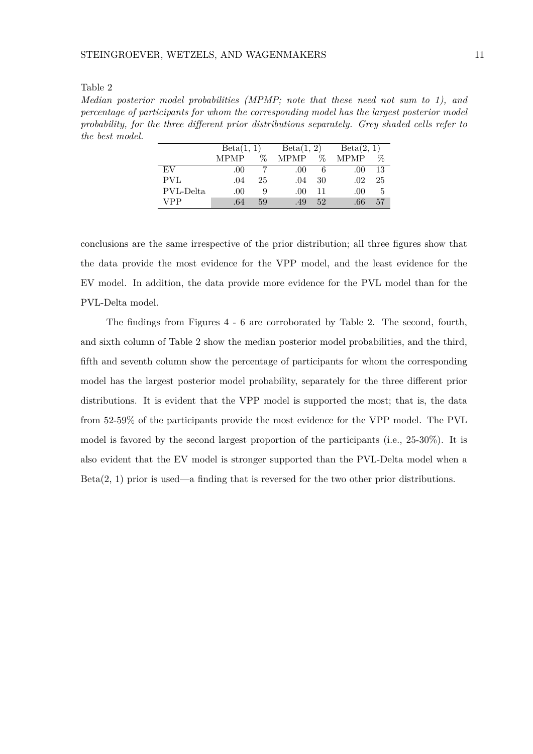#### Table 2

*Median posterior model probabilities (MPMP; note that these need not sum to 1), and percentage of participants for whom the corresponding model has the largest posterior model probability, for the three different prior distributions separately. Grey shaded cells refer to the best model.*

|           | Beta(1, 1)  |    | Beta(1, 2)  |    | Beta(2, 1)       |    |
|-----------|-------------|----|-------------|----|------------------|----|
|           | <b>MPMP</b> | ℅  | <b>MPMP</b> | Z  | <b>MPMP</b>      | ℅  |
| EV        | .00         |    | .00         | 6  | .00 <sub>1</sub> | 13 |
| PVL       | .04         | 25 | .04         | 30 | .02              | 25 |
| PVL-Delta | .00         | 9  | .00         | 11 | .00.             | 5  |
| VPP       | .64         | 59 | .49         | 52 | .66              | 57 |

conclusions are the same irrespective of the prior distribution; all three figures show that the data provide the most evidence for the VPP model, and the least evidence for the EV model. In addition, the data provide more evidence for the PVL model than for the PVL-Delta model.

The findings from Figures 4 - 6 are corroborated by Table 2. The second, fourth, and sixth column of Table 2 show the median posterior model probabilities, and the third, fifth and seventh column show the percentage of participants for whom the corresponding model has the largest posterior model probability, separately for the three different prior distributions. It is evident that the VPP model is supported the most; that is, the data from 52-59% of the participants provide the most evidence for the VPP model. The PVL model is favored by the second largest proportion of the participants (i.e., 25-30%). It is also evident that the EV model is stronger supported than the PVL-Delta model when a  $Beta(2, 1)$  prior is used—a finding that is reversed for the two other prior distributions.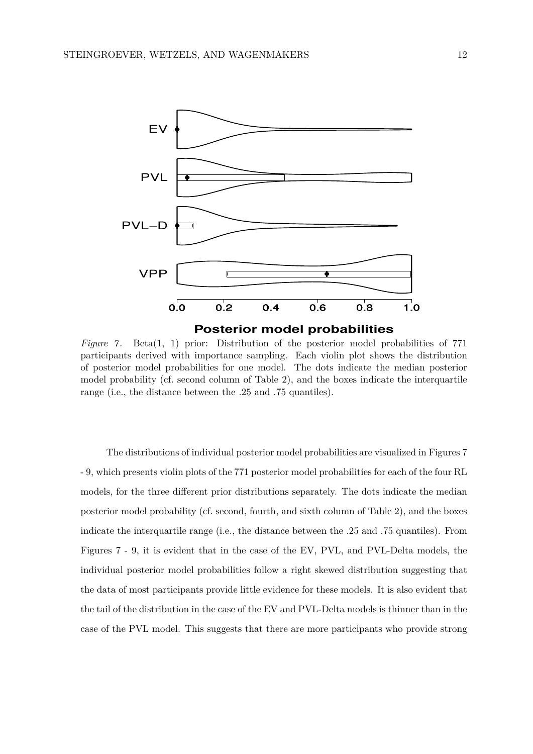

*Figure 7.* Beta(1, 1) prior: Distribution of the posterior model probabilities of 771 participants derived with importance sampling. Each violin plot shows the distribution of posterior model probabilities for one model. The dots indicate the median posterior model probability (cf. second column of Table 2), and the boxes indicate the interquartile range (i.e., the distance between the .25 and .75 quantiles).

The distributions of individual posterior model probabilities are visualized in Figures 7 - 9, which presents violin plots of the 771 posterior model probabilities for each of the four RL models, for the three different prior distributions separately. The dots indicate the median posterior model probability (cf. second, fourth, and sixth column of Table 2), and the boxes indicate the interquartile range (i.e., the distance between the .25 and .75 quantiles). From Figures 7 - 9, it is evident that in the case of the EV, PVL, and PVL-Delta models, the individual posterior model probabilities follow a right skewed distribution suggesting that the data of most participants provide little evidence for these models. It is also evident that the tail of the distribution in the case of the EV and PVL-Delta models is thinner than in the case of the PVL model. This suggests that there are more participants who provide strong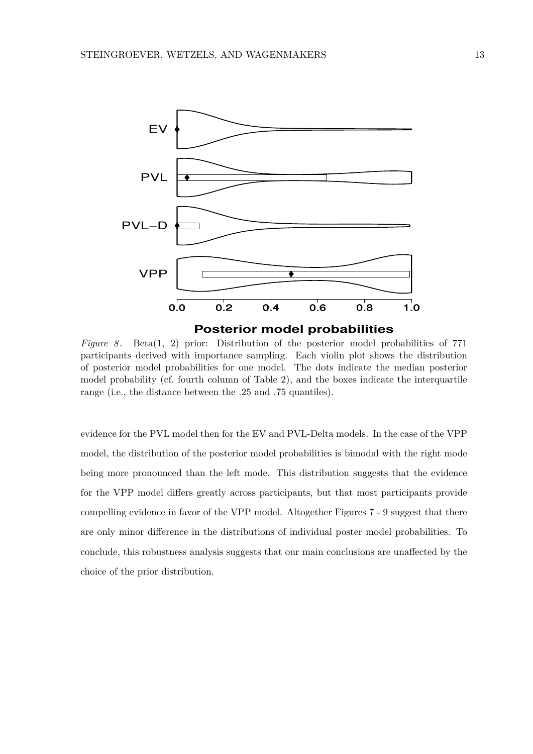

*Figure 8*. Beta(1, 2) prior: Distribution of the posterior model probabilities of 771 participants derived with importance sampling. Each violin plot shows the distribution of posterior model probabilities for one model. The dots indicate the median posterior model probability (cf. fourth column of Table 2), and the boxes indicate the interquartile range (i.e., the distance between the .25 and .75 quantiles).

evidence for the PVL model then for the EV and PVL-Delta models. In the case of the VPP model, the distribution of the posterior model probabilities is bimodal with the right mode being more pronounced than the left mode. This distribution suggests that the evidence for the VPP model differs greatly across participants, but that most participants provide compelling evidence in favor of the VPP model. Altogether Figures 7 - 9 suggest that there are only minor difference in the distributions of individual poster model probabilities. To conclude, this robustness analysis suggests that our main conclusions are unaffected by the choice of the prior distribution.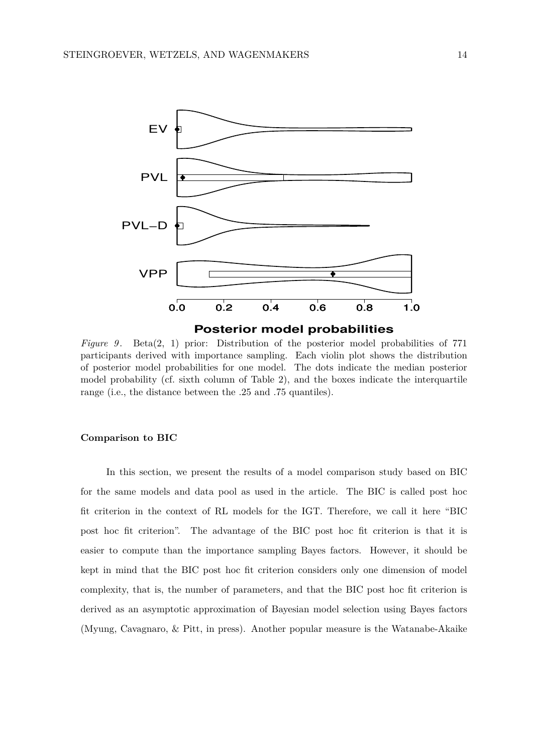

*Figure 9.* Beta(2, 1) prior: Distribution of the posterior model probabilities of 771 participants derived with importance sampling. Each violin plot shows the distribution of posterior model probabilities for one model. The dots indicate the median posterior model probability (cf. sixth column of Table 2), and the boxes indicate the interquartile range (i.e., the distance between the .25 and .75 quantiles).

## **Comparison to BIC**

In this section, we present the results of a model comparison study based on BIC for the same models and data pool as used in the article. The BIC is called post hoc fit criterion in the context of RL models for the IGT. Therefore, we call it here "BIC post hoc fit criterion". The advantage of the BIC post hoc fit criterion is that it is easier to compute than the importance sampling Bayes factors. However, it should be kept in mind that the BIC post hoc fit criterion considers only one dimension of model complexity, that is, the number of parameters, and that the BIC post hoc fit criterion is derived as an asymptotic approximation of Bayesian model selection using Bayes factors (Myung, Cavagnaro, & Pitt, in press). Another popular measure is the Watanabe-Akaike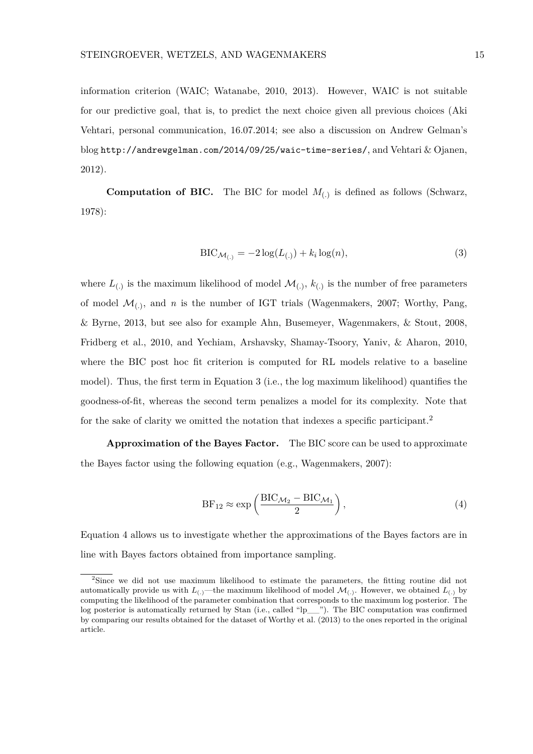information criterion (WAIC; Watanabe, 2010, 2013). However, WAIC is not suitable for our predictive goal, that is, to predict the next choice given all previous choices (Aki Vehtari, personal communication, 16.07.2014; see also a discussion on Andrew Gelman's blog http://andrewgelman.com/2014/09/25/waic-time-series/, and Vehtari & Ojanen, 2012).

**Computation of BIC.** The BIC for model  $M_{(.)}$  is defined as follows (Schwarz, 1978):

$$
\text{BIC}_{\mathcal{M}_{(.)}} = -2\log(L_{(.)}) + k_i \log(n),\tag{3}
$$

where  $L_{(.)}$  is the maximum likelihood of model  $\mathcal{M}_{(.)}$ ,  $k_{(.)}$  is the number of free parameters of model  $\mathcal{M}_{(.)}$ , and *n* is the number of IGT trials (Wagenmakers, 2007; Worthy, Pang, & Byrne, 2013, but see also for example Ahn, Busemeyer, Wagenmakers, & Stout, 2008, Fridberg et al., 2010, and Yechiam, Arshavsky, Shamay-Tsoory, Yaniv, & Aharon, 2010, where the BIC post hoc fit criterion is computed for RL models relative to a baseline model). Thus, the first term in Equation 3 (i.e., the log maximum likelihood) quantifies the goodness-of-fit, whereas the second term penalizes a model for its complexity. Note that for the sake of clarity we omitted the notation that indexes a specific participant.<sup>2</sup>

**Approximation of the Bayes Factor.** The BIC score can be used to approximate the Bayes factor using the following equation (e.g., Wagenmakers, 2007):

$$
BF_{12} \approx \exp\left(\frac{BIC_{\mathcal{M}_2} - BIC_{\mathcal{M}_1}}{2}\right),\tag{4}
$$

Equation 4 allows us to investigate whether the approximations of the Bayes factors are in line with Bayes factors obtained from importance sampling.

<sup>&</sup>lt;sup>2</sup>Since we did not use maximum likelihood to estimate the parameters, the fitting routine did not automatically provide us with  $L_{(.)}$ —the maximum likelihood of model  $\mathcal{M}_{(.)}$ . However, we obtained  $L_{(.)}$  by computing the likelihood of the parameter combination that corresponds to the maximum log posterior. The log posterior is automatically returned by Stan (i.e., called "lp\_\_"). The BIC computation was confirmed by comparing our results obtained for the dataset of Worthy et al. (2013) to the ones reported in the original article.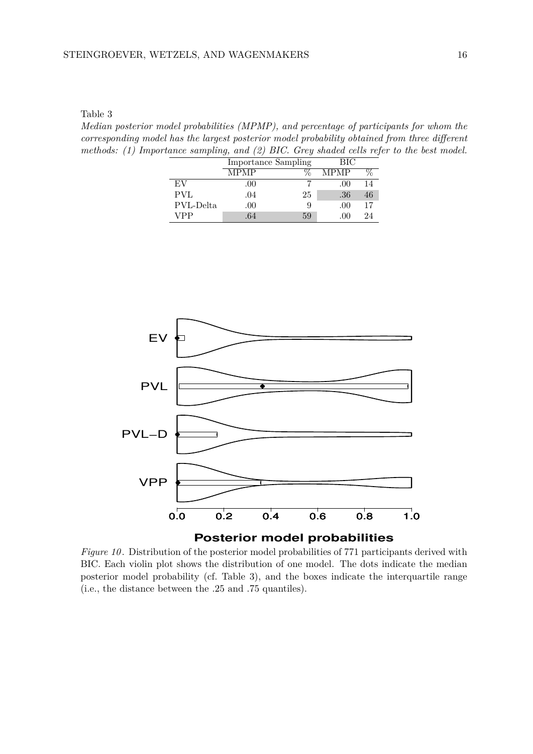Table 3

*Median posterior model probabilities (MPMP), and percentage of participants for whom the corresponding model has the largest posterior model probability obtained from three different methods: (1) Importance sampling, and (2) BIC. Grey shaded cells refer to the best model.*

|           | <b>Importance Sampling</b> |    | BІC          |    |
|-----------|----------------------------|----|--------------|----|
|           | MPMP                       |    | <b>MPMP</b>  |    |
| EV        | .00                        |    | .00          |    |
| PVL       | .04                        | 25 | .36          | 46 |
| PVL-Delta | .00                        |    | .00          | 17 |
| VPP       | 64                         | 59 | $($ $)($ $)$ | 94 |



*Figure 10* . Distribution of the posterior model probabilities of 771 participants derived with BIC. Each violin plot shows the distribution of one model. The dots indicate the median posterior model probability (cf. Table 3), and the boxes indicate the interquartile range (i.e., the distance between the .25 and .75 quantiles).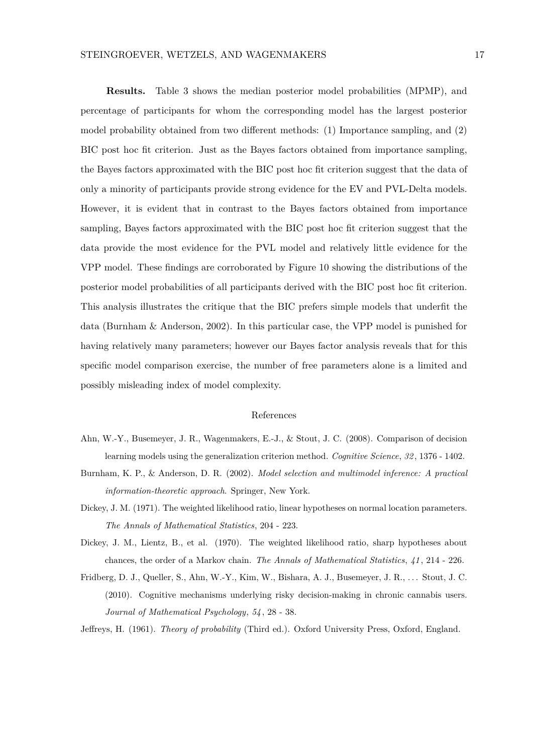### STEINGROEVER, WETZELS, AND WAGENMAKERS 17

**Results.** Table 3 shows the median posterior model probabilities (MPMP), and percentage of participants for whom the corresponding model has the largest posterior model probability obtained from two different methods: (1) Importance sampling, and (2) BIC post hoc fit criterion. Just as the Bayes factors obtained from importance sampling, the Bayes factors approximated with the BIC post hoc fit criterion suggest that the data of only a minority of participants provide strong evidence for the EV and PVL-Delta models. However, it is evident that in contrast to the Bayes factors obtained from importance sampling, Bayes factors approximated with the BIC post hoc fit criterion suggest that the data provide the most evidence for the PVL model and relatively little evidence for the VPP model. These findings are corroborated by Figure 10 showing the distributions of the posterior model probabilities of all participants derived with the BIC post hoc fit criterion. This analysis illustrates the critique that the BIC prefers simple models that underfit the data (Burnham & Anderson, 2002). In this particular case, the VPP model is punished for having relatively many parameters; however our Bayes factor analysis reveals that for this specific model comparison exercise, the number of free parameters alone is a limited and possibly misleading index of model complexity.

## References

- Ahn, W.-Y., Busemeyer, J. R., Wagenmakers, E.-J., & Stout, J. C. (2008). Comparison of decision learning models using the generalization criterion method. *Cognitive Science*, *32* , 1376 - 1402.
- Burnham, K. P., & Anderson, D. R. (2002). *Model selection and multimodel inference: A practical information-theoretic approach*. Springer, New York.
- Dickey, J. M. (1971). The weighted likelihood ratio, linear hypotheses on normal location parameters. *The Annals of Mathematical Statistics*, 204 - 223.
- Dickey, J. M., Lientz, B., et al. (1970). The weighted likelihood ratio, sharp hypotheses about chances, the order of a Markov chain. *The Annals of Mathematical Statistics*, *41* , 214 - 226.
- Fridberg, D. J., Queller, S., Ahn, W.-Y., Kim, W., Bishara, A. J., Busemeyer, J. R., . . . Stout, J. C. (2010). Cognitive mechanisms underlying risky decision-making in chronic cannabis users. *Journal of Mathematical Psychology*, *54* , 28 - 38.
- Jeffreys, H. (1961). *Theory of probability* (Third ed.). Oxford University Press, Oxford, England.